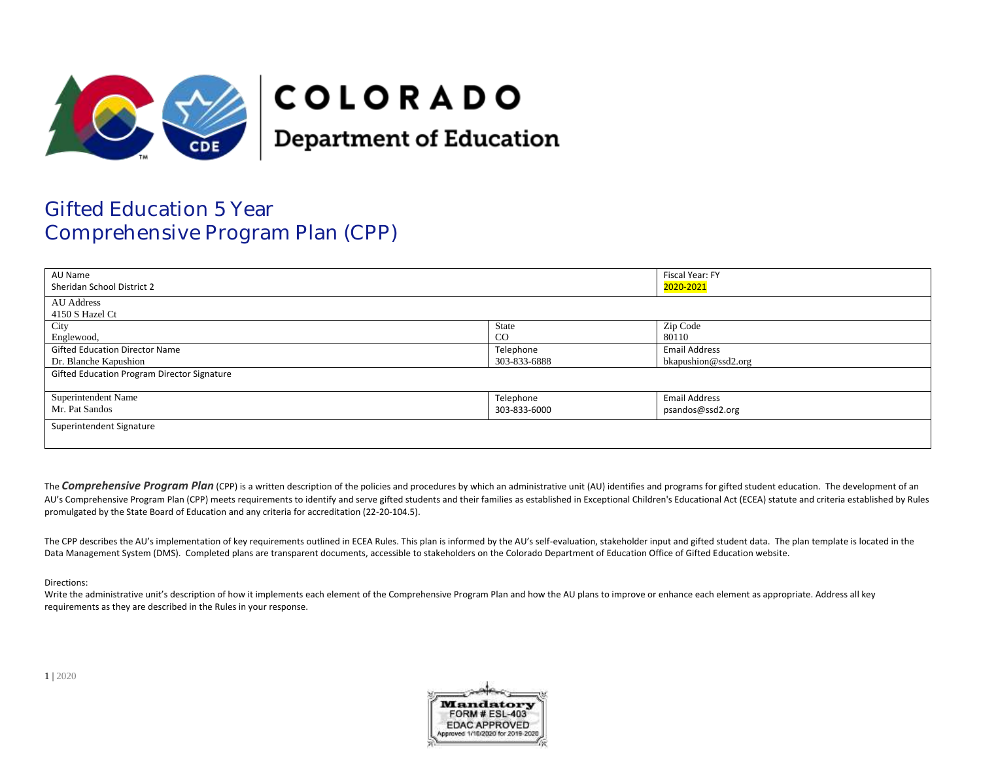

# **COLORADO**

**Department of Education** 

## Gifted Education 5 Year Comprehensive Program Plan (CPP)

| AU Name<br>Sheridan School District 2       |              | Fiscal Year: FY<br>2020-2021 |
|---------------------------------------------|--------------|------------------------------|
| <b>AU</b> Address                           |              |                              |
| 4150 S Hazel Ct                             |              |                              |
| City                                        | State        | Zip Code                     |
| Englewood,                                  | CO           | 80110                        |
| <b>Gifted Education Director Name</b>       | Telephone    | <b>Email Address</b>         |
| Dr. Blanche Kapushion                       | 303-833-6888 | bkapushion@ssd2.org          |
| Gifted Education Program Director Signature |              |                              |
|                                             |              |                              |
| Superintendent Name                         | Telephone    | <b>Email Address</b>         |
| Mr. Pat Sandos                              | 303-833-6000 | psandos@ssd2.org             |
| Superintendent Signature                    |              |                              |
|                                             |              |                              |

The **Comprehensive Program Plan** (CPP) is a written description of the policies and procedures by which an administrative unit (AU) identifies and programs for gifted student education. The development of an AU's Comprehensive Program Plan (CPP) meets requirements to identify and serve gifted students and their families as established in Exceptional Children's Educational Act (ECEA) statute and criteria established by Rules promulgated by the State Board of Education and any criteria for accreditation (22-20-104.5).

The CPP describes the AU's implementation of key requirements outlined in ECEA Rules. This plan is informed by the AU's self-evaluation, stakeholder input and gifted student data. The plan template is located in the Data Management System (DMS). Completed plans are transparent documents, accessible to stakeholders on the Colorado Department of Education Office of Gifted Education website.

#### Directions:

Write the administrative unit's description of how it implements each element of the Comprehensive Program Plan and how the AU plans to improve or enhance each element as appropriate. Address all key requirements as they are described in the Rules in your response.

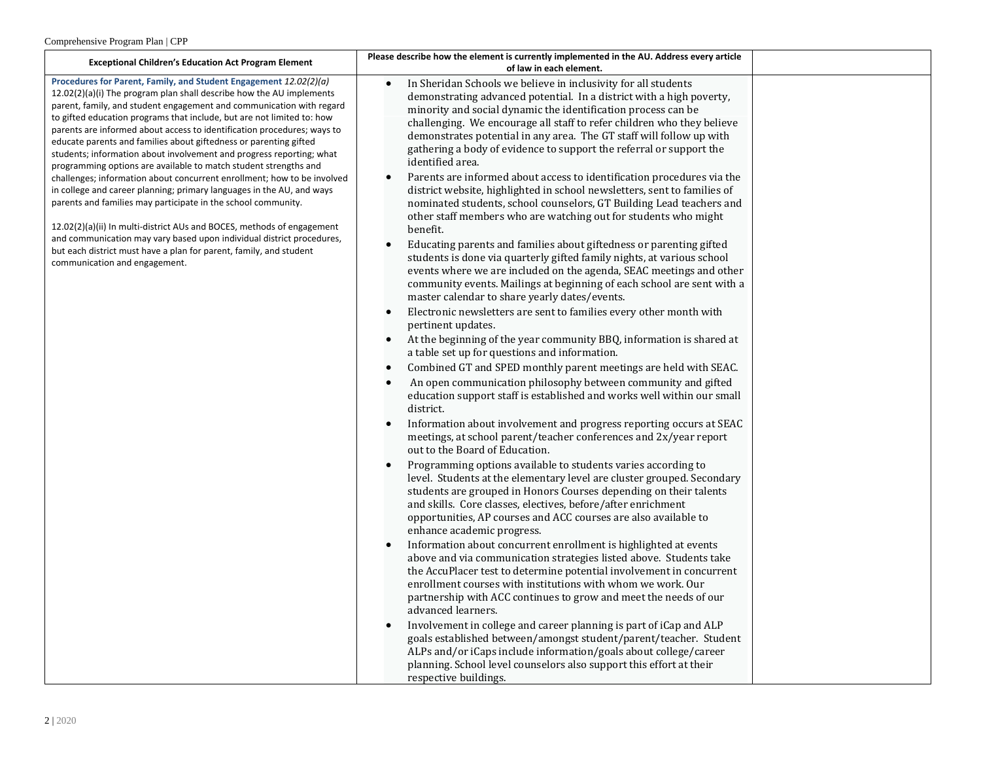| <b>Exceptional Children's Education Act Program Element</b>                                                                                                                                                                                                                                                                                                                                                                                                                                                                                                                             | Please describe how the element is currently implemented in the AU. Address every article<br>of law in each element.                                                                                                                                                                                                                                                                                                                                 |  |
|-----------------------------------------------------------------------------------------------------------------------------------------------------------------------------------------------------------------------------------------------------------------------------------------------------------------------------------------------------------------------------------------------------------------------------------------------------------------------------------------------------------------------------------------------------------------------------------------|------------------------------------------------------------------------------------------------------------------------------------------------------------------------------------------------------------------------------------------------------------------------------------------------------------------------------------------------------------------------------------------------------------------------------------------------------|--|
| Procedures for Parent, Family, and Student Engagement 12.02(2)(a)<br>12.02(2)(a)(i) The program plan shall describe how the AU implements<br>parent, family, and student engagement and communication with regard<br>to gifted education programs that include, but are not limited to: how<br>parents are informed about access to identification procedures; ways to<br>educate parents and families about giftedness or parenting gifted<br>students; information about involvement and progress reporting; what<br>programming options are available to match student strengths and | In Sheridan Schools we believe in inclusivity for all students<br>demonstrating advanced potential. In a district with a high poverty,<br>minority and social dynamic the identification process can be<br>challenging. We encourage all staff to refer children who they believe<br>demonstrates potential in any area. The GT staff will follow up with<br>gathering a body of evidence to support the referral or support the<br>identified area. |  |
| challenges; information about concurrent enrollment; how to be involved<br>in college and career planning; primary languages in the AU, and ways<br>parents and families may participate in the school community.<br>12.02(2)(a)(ii) In multi-district AUs and BOCES, methods of engagement                                                                                                                                                                                                                                                                                             | Parents are informed about access to identification procedures via the<br>$\bullet$<br>district website, highlighted in school newsletters, sent to families of<br>nominated students, school counselors, GT Building Lead teachers and<br>other staff members who are watching out for students who might<br>benefit.                                                                                                                               |  |
| and communication may vary based upon individual district procedures,<br>but each district must have a plan for parent, family, and student<br>communication and engagement.                                                                                                                                                                                                                                                                                                                                                                                                            | Educating parents and families about giftedness or parenting gifted<br>$\bullet$<br>students is done via quarterly gifted family nights, at various school<br>events where we are included on the agenda, SEAC meetings and other<br>community events. Mailings at beginning of each school are sent with a<br>master calendar to share yearly dates/events.                                                                                         |  |
|                                                                                                                                                                                                                                                                                                                                                                                                                                                                                                                                                                                         | Electronic newsletters are sent to families every other month with<br>$\bullet$<br>pertinent updates.                                                                                                                                                                                                                                                                                                                                                |  |
|                                                                                                                                                                                                                                                                                                                                                                                                                                                                                                                                                                                         | At the beginning of the year community BBQ, information is shared at<br>a table set up for questions and information.                                                                                                                                                                                                                                                                                                                                |  |
|                                                                                                                                                                                                                                                                                                                                                                                                                                                                                                                                                                                         | Combined GT and SPED monthly parent meetings are held with SEAC.<br>$\bullet$                                                                                                                                                                                                                                                                                                                                                                        |  |
|                                                                                                                                                                                                                                                                                                                                                                                                                                                                                                                                                                                         | An open communication philosophy between community and gifted<br>education support staff is established and works well within our small<br>district.                                                                                                                                                                                                                                                                                                 |  |
|                                                                                                                                                                                                                                                                                                                                                                                                                                                                                                                                                                                         | Information about involvement and progress reporting occurs at SEAC<br>meetings, at school parent/teacher conferences and 2x/year report<br>out to the Board of Education.                                                                                                                                                                                                                                                                           |  |
|                                                                                                                                                                                                                                                                                                                                                                                                                                                                                                                                                                                         | Programming options available to students varies according to<br>$\bullet$<br>level. Students at the elementary level are cluster grouped. Secondary<br>students are grouped in Honors Courses depending on their talents<br>and skills. Core classes, electives, before/after enrichment<br>opportunities, AP courses and ACC courses are also available to<br>enhance academic progress.                                                           |  |
|                                                                                                                                                                                                                                                                                                                                                                                                                                                                                                                                                                                         | Information about concurrent enrollment is highlighted at events<br>above and via communication strategies listed above. Students take<br>the AccuPlacer test to determine potential involvement in concurrent<br>enrollment courses with institutions with whom we work. Our<br>partnership with ACC continues to grow and meet the needs of our<br>advanced learners.                                                                              |  |
|                                                                                                                                                                                                                                                                                                                                                                                                                                                                                                                                                                                         | Involvement in college and career planning is part of iCap and ALP<br>goals established between/amongst student/parent/teacher. Student<br>ALPs and/or iCaps include information/goals about college/career<br>planning. School level counselors also support this effort at their<br>respective buildings.                                                                                                                                          |  |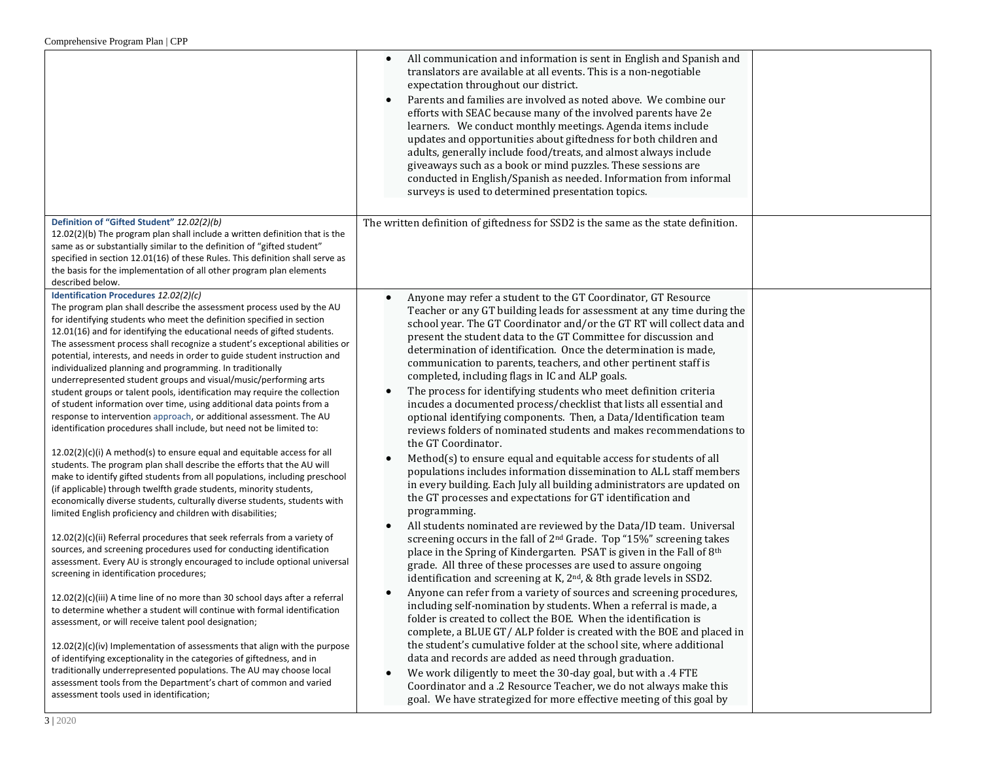|                                                                                                                                                                                                                                                                                                                                                                                                                                                                                                                                                                                                                                                                                                                                                                                                                                                                                                                                                                                                                                                                                                                                                                                                                                                                                                                                                                                                                                                                                                                                                                                                                                                                                                                                                                                                                                                                                                                                                                                                                                                                                                                                                                         | All communication and information is sent in English and Spanish and<br>translators are available at all events. This is a non-negotiable<br>expectation throughout our district.<br>Parents and families are involved as noted above. We combine our<br>efforts with SEAC because many of the involved parents have 2e<br>learners. We conduct monthly meetings. Agenda items include<br>updates and opportunities about giftedness for both children and<br>adults, generally include food/treats, and almost always include<br>giveaways such as a book or mind puzzles. These sessions are<br>conducted in English/Spanish as needed. Information from informal<br>surveys is used to determined presentation topics.                                                                                                                                                                                                                                                                                                                                                                                                                                                                                                                                                                                                                                                                                                                                                                                                                                                                                                                                                                                                                                                                                                                                                                                                                                                                                                                                                                                                                           |  |
|-------------------------------------------------------------------------------------------------------------------------------------------------------------------------------------------------------------------------------------------------------------------------------------------------------------------------------------------------------------------------------------------------------------------------------------------------------------------------------------------------------------------------------------------------------------------------------------------------------------------------------------------------------------------------------------------------------------------------------------------------------------------------------------------------------------------------------------------------------------------------------------------------------------------------------------------------------------------------------------------------------------------------------------------------------------------------------------------------------------------------------------------------------------------------------------------------------------------------------------------------------------------------------------------------------------------------------------------------------------------------------------------------------------------------------------------------------------------------------------------------------------------------------------------------------------------------------------------------------------------------------------------------------------------------------------------------------------------------------------------------------------------------------------------------------------------------------------------------------------------------------------------------------------------------------------------------------------------------------------------------------------------------------------------------------------------------------------------------------------------------------------------------------------------------|-----------------------------------------------------------------------------------------------------------------------------------------------------------------------------------------------------------------------------------------------------------------------------------------------------------------------------------------------------------------------------------------------------------------------------------------------------------------------------------------------------------------------------------------------------------------------------------------------------------------------------------------------------------------------------------------------------------------------------------------------------------------------------------------------------------------------------------------------------------------------------------------------------------------------------------------------------------------------------------------------------------------------------------------------------------------------------------------------------------------------------------------------------------------------------------------------------------------------------------------------------------------------------------------------------------------------------------------------------------------------------------------------------------------------------------------------------------------------------------------------------------------------------------------------------------------------------------------------------------------------------------------------------------------------------------------------------------------------------------------------------------------------------------------------------------------------------------------------------------------------------------------------------------------------------------------------------------------------------------------------------------------------------------------------------------------------------------------------------------------------------------------------------|--|
| Definition of "Gifted Student" 12.02(2)(b)<br>12.02(2)(b) The program plan shall include a written definition that is the<br>same as or substantially similar to the definition of "gifted student"<br>specified in section 12.01(16) of these Rules. This definition shall serve as<br>the basis for the implementation of all other program plan elements<br>described below.                                                                                                                                                                                                                                                                                                                                                                                                                                                                                                                                                                                                                                                                                                                                                                                                                                                                                                                                                                                                                                                                                                                                                                                                                                                                                                                                                                                                                                                                                                                                                                                                                                                                                                                                                                                         | The written definition of giftedness for SSD2 is the same as the state definition.                                                                                                                                                                                                                                                                                                                                                                                                                                                                                                                                                                                                                                                                                                                                                                                                                                                                                                                                                                                                                                                                                                                                                                                                                                                                                                                                                                                                                                                                                                                                                                                                                                                                                                                                                                                                                                                                                                                                                                                                                                                                  |  |
| Identification Procedures 12.02(2)(c)<br>The program plan shall describe the assessment process used by the AU<br>for identifying students who meet the definition specified in section<br>12.01(16) and for identifying the educational needs of gifted students.<br>The assessment process shall recognize a student's exceptional abilities or<br>potential, interests, and needs in order to guide student instruction and<br>individualized planning and programming. In traditionally<br>underrepresented student groups and visual/music/performing arts<br>student groups or talent pools, identification may require the collection<br>of student information over time, using additional data points from a<br>response to intervention approach, or additional assessment. The AU<br>identification procedures shall include, but need not be limited to:<br>12.02(2)(c)(i) A method(s) to ensure equal and equitable access for all<br>students. The program plan shall describe the efforts that the AU will<br>make to identify gifted students from all populations, including preschool<br>(if applicable) through twelfth grade students, minority students,<br>economically diverse students, culturally diverse students, students with<br>limited English proficiency and children with disabilities;<br>12.02(2)(c)(ii) Referral procedures that seek referrals from a variety of<br>sources, and screening procedures used for conducting identification<br>assessment. Every AU is strongly encouraged to include optional universal<br>screening in identification procedures;<br>12.02(2)(c)(iii) A time line of no more than 30 school days after a referral<br>to determine whether a student will continue with formal identification<br>assessment, or will receive talent pool designation;<br>12.02(2)(c)(iv) Implementation of assessments that align with the purpose<br>of identifying exceptionality in the categories of giftedness, and in<br>traditionally underrepresented populations. The AU may choose local<br>assessment tools from the Department's chart of common and varied<br>assessment tools used in identification; | Anyone may refer a student to the GT Coordinator, GT Resource<br>$\bullet$<br>Teacher or any GT building leads for assessment at any time during the<br>school year. The GT Coordinator and/or the GT RT will collect data and<br>present the student data to the GT Committee for discussion and<br>determination of identification. Once the determination is made,<br>communication to parents, teachers, and other pertinent staff is<br>completed, including flags in IC and ALP goals.<br>The process for identifying students who meet definition criteria<br>incudes a documented process/checklist that lists all essential and<br>optional identifying components. Then, a Data/Identification team<br>reviews folders of nominated students and makes recommendations to<br>the GT Coordinator.<br>Method(s) to ensure equal and equitable access for students of all<br>populations includes information dissemination to ALL staff members<br>in every building. Each July all building administrators are updated on<br>the GT processes and expectations for GT identification and<br>programming.<br>All students nominated are reviewed by the Data/ID team. Universal<br>screening occurs in the fall of 2 <sup>nd</sup> Grade. Top "15%" screening takes<br>place in the Spring of Kindergarten. PSAT is given in the Fall of 8th<br>grade. All three of these processes are used to assure ongoing<br>identification and screening at K, 2 <sup>nd</sup> , & 8th grade levels in SSD2.<br>Anyone can refer from a variety of sources and screening procedures,<br>including self-nomination by students. When a referral is made, a<br>folder is created to collect the BOE. When the identification is<br>complete, a BLUE GT/ALP folder is created with the BOE and placed in<br>the student's cumulative folder at the school site, where additional<br>data and records are added as need through graduation.<br>We work diligently to meet the 30-day goal, but with a .4 FTE<br>Coordinator and a .2 Resource Teacher, we do not always make this<br>goal. We have strategized for more effective meeting of this goal by |  |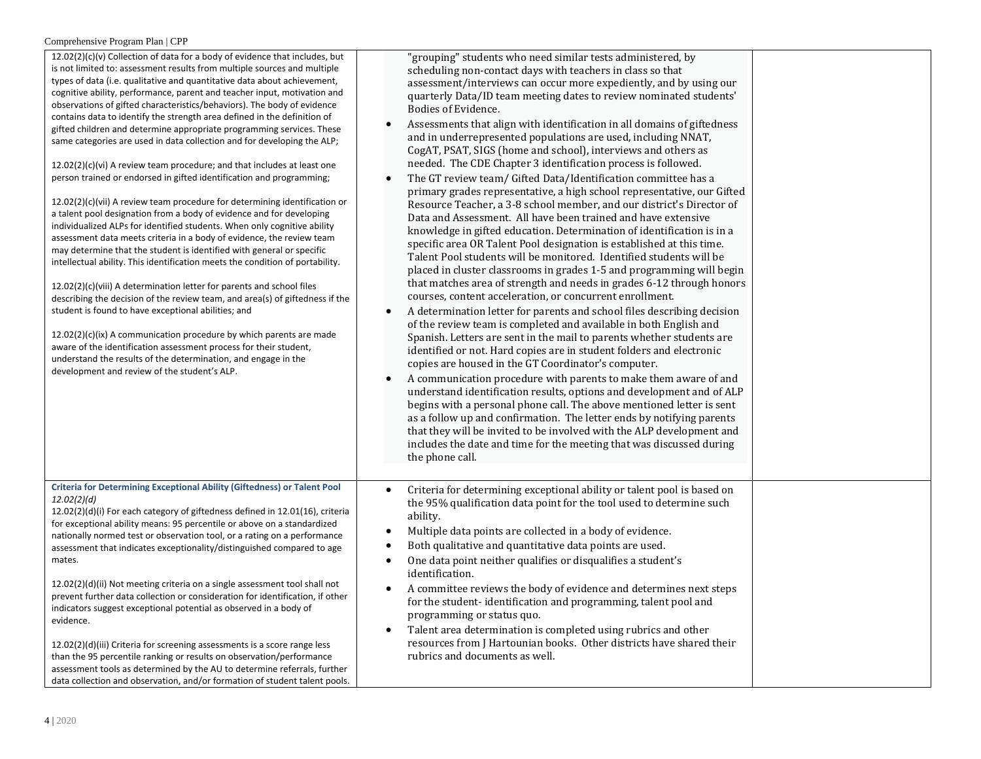| $12.02(2)(c)(v)$ Collection of data for a body of evidence that includes, but<br>is not limited to: assessment results from multiple sources and multiple<br>types of data (i.e. qualitative and quantitative data about achievement,<br>cognitive ability, performance, parent and teacher input, motivation and<br>observations of gifted characteristics/behaviors). The body of evidence<br>contains data to identify the strength area defined in the definition of<br>gifted children and determine appropriate programming services. These<br>same categories are used in data collection and for developing the ALP;<br>$12.02(2)(c)(vi)$ A review team procedure; and that includes at least one<br>person trained or endorsed in gifted identification and programming;<br>$12.02(2)(c)(vi)$ A review team procedure for determining identification or<br>a talent pool designation from a body of evidence and for developing<br>individualized ALPs for identified students. When only cognitive ability<br>assessment data meets criteria in a body of evidence, the review team<br>may determine that the student is identified with general or specific<br>intellectual ability. This identification meets the condition of portability.<br>12.02(2)(c)(viii) A determination letter for parents and school files<br>describing the decision of the review team, and area(s) of giftedness if the<br>student is found to have exceptional abilities; and<br>12.02(2)(c)(ix) A communication procedure by which parents are made<br>aware of the identification assessment process for their student,<br>understand the results of the determination, and engage in the<br>development and review of the student's ALP. | "grouping" students who need similar tests administered, by<br>scheduling non-contact days with teachers in class so that<br>assessment/interviews can occur more expediently, and by using our<br>quarterly Data/ID team meeting dates to review nominated students'<br>Bodies of Evidence.<br>Assessments that align with identification in all domains of giftedness<br>and in underrepresented populations are used, including NNAT,<br>CogAT, PSAT, SIGS (home and school), interviews and others as<br>needed. The CDE Chapter 3 identification process is followed.<br>The GT review team/ Gifted Data/Identification committee has a<br>primary grades representative, a high school representative, our Gifted<br>Resource Teacher, a 3-8 school member, and our district's Director of<br>Data and Assessment. All have been trained and have extensive<br>knowledge in gifted education. Determination of identification is in a<br>specific area OR Talent Pool designation is established at this time.<br>Talent Pool students will be monitored. Identified students will be<br>placed in cluster classrooms in grades 1-5 and programming will begin<br>that matches area of strength and needs in grades 6-12 through honors<br>courses, content acceleration, or concurrent enrollment.<br>A determination letter for parents and school files describing decision<br>$\bullet$<br>of the review team is completed and available in both English and<br>Spanish. Letters are sent in the mail to parents whether students are<br>identified or not. Hard copies are in student folders and electronic<br>copies are housed in the GT Coordinator's computer.<br>A communication procedure with parents to make them aware of and<br>$\bullet$<br>understand identification results, options and development and of ALP<br>begins with a personal phone call. The above mentioned letter is sent<br>as a follow up and confirmation. The letter ends by notifying parents<br>that they will be invited to be involved with the ALP development and<br>includes the date and time for the meeting that was discussed during<br>the phone call. |  |
|---------------------------------------------------------------------------------------------------------------------------------------------------------------------------------------------------------------------------------------------------------------------------------------------------------------------------------------------------------------------------------------------------------------------------------------------------------------------------------------------------------------------------------------------------------------------------------------------------------------------------------------------------------------------------------------------------------------------------------------------------------------------------------------------------------------------------------------------------------------------------------------------------------------------------------------------------------------------------------------------------------------------------------------------------------------------------------------------------------------------------------------------------------------------------------------------------------------------------------------------------------------------------------------------------------------------------------------------------------------------------------------------------------------------------------------------------------------------------------------------------------------------------------------------------------------------------------------------------------------------------------------------------------------------------------------------------------------------------------------|----------------------------------------------------------------------------------------------------------------------------------------------------------------------------------------------------------------------------------------------------------------------------------------------------------------------------------------------------------------------------------------------------------------------------------------------------------------------------------------------------------------------------------------------------------------------------------------------------------------------------------------------------------------------------------------------------------------------------------------------------------------------------------------------------------------------------------------------------------------------------------------------------------------------------------------------------------------------------------------------------------------------------------------------------------------------------------------------------------------------------------------------------------------------------------------------------------------------------------------------------------------------------------------------------------------------------------------------------------------------------------------------------------------------------------------------------------------------------------------------------------------------------------------------------------------------------------------------------------------------------------------------------------------------------------------------------------------------------------------------------------------------------------------------------------------------------------------------------------------------------------------------------------------------------------------------------------------------------------------------------------------------------------------------------------------------------------------------------------------------------------------------------------------|--|
| <b>Criteria for Determining Exceptional Ability (Giftedness) or Talent Pool</b><br>12.02(2)(d)<br>12.02(2)(d)(i) For each category of giftedness defined in 12.01(16), criteria<br>for exceptional ability means: 95 percentile or above on a standardized<br>nationally normed test or observation tool, or a rating on a performance<br>assessment that indicates exceptionality/distinguished compared to age<br>mates.<br>12.02(2)(d)(ii) Not meeting criteria on a single assessment tool shall not<br>prevent further data collection or consideration for identification, if other<br>indicators suggest exceptional potential as observed in a body of<br>evidence.<br>$12.02(2)(d)(iii)$ Criteria for screening assessments is a score range less<br>than the 95 percentile ranking or results on observation/performance<br>assessment tools as determined by the AU to determine referrals, further<br>data collection and observation, and/or formation of student talent pools.                                                                                                                                                                                                                                                                                                                                                                                                                                                                                                                                                                                                                                                                                                                                          | Criteria for determining exceptional ability or talent pool is based on<br>the 95% qualification data point for the tool used to determine such<br>ability.<br>Multiple data points are collected in a body of evidence.<br>$\bullet$<br>Both qualitative and quantitative data points are used.<br>One data point neither qualifies or disqualifies a student's<br>identification.<br>A committee reviews the body of evidence and determines next steps<br>$\bullet$<br>for the student-identification and programming, talent pool and<br>programming or status quo.<br>Talent area determination is completed using rubrics and other<br>$\bullet$<br>resources from J Hartounian books. Other districts have shared their<br>rubrics and documents as well.                                                                                                                                                                                                                                                                                                                                                                                                                                                                                                                                                                                                                                                                                                                                                                                                                                                                                                                                                                                                                                                                                                                                                                                                                                                                                                                                                                                               |  |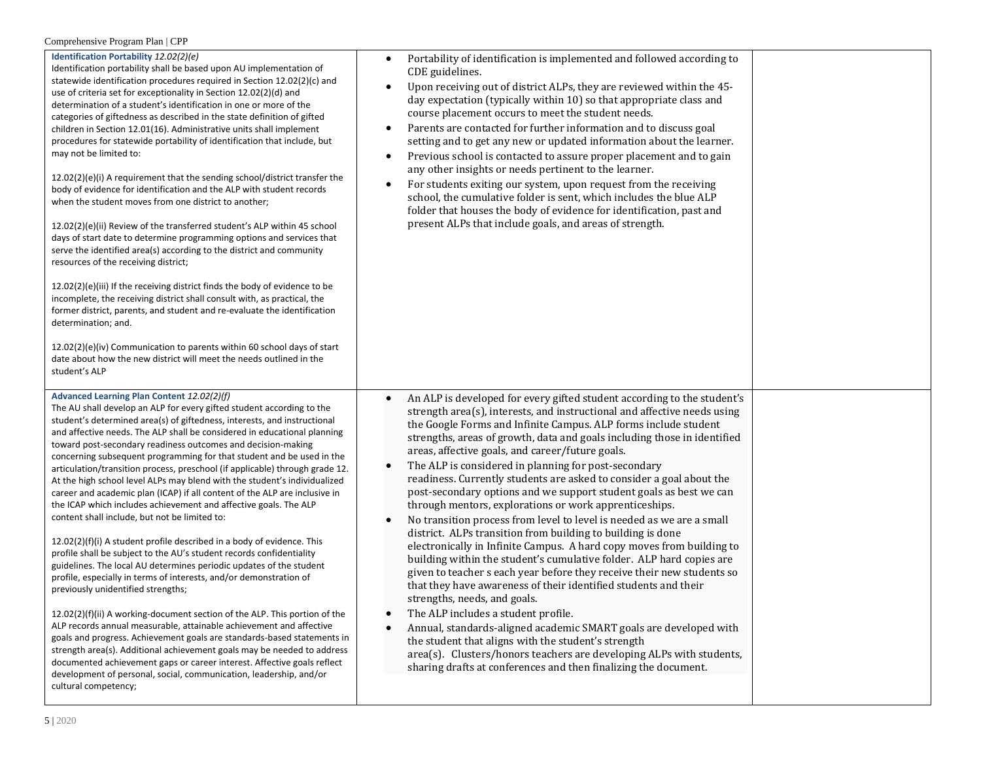| Identification Portability 12.02(2)(e)<br>Identification portability shall be based upon AU implementation of<br>statewide identification procedures required in Section 12.02(2)(c) and<br>use of criteria set for exceptionality in Section 12.02(2)(d) and<br>determination of a student's identification in one or more of the<br>categories of giftedness as described in the state definition of gifted<br>children in Section 12.01(16). Administrative units shall implement<br>procedures for statewide portability of identification that include, but<br>may not be limited to:<br>$12.02(2)(e)(i)$ A requirement that the sending school/district transfer the<br>body of evidence for identification and the ALP with student records<br>when the student moves from one district to another;<br>12.02(2)(e)(ii) Review of the transferred student's ALP within 45 school<br>days of start date to determine programming options and services that<br>serve the identified area(s) according to the district and community<br>resources of the receiving district;<br>12.02(2)(e)(iii) If the receiving district finds the body of evidence to be<br>incomplete, the receiving district shall consult with, as practical, the<br>former district, parents, and student and re-evaluate the identification<br>determination; and.<br>12.02(2)(e)(iv) Communication to parents within 60 school days of start<br>date about how the new district will meet the needs outlined in the<br>student's ALP                                                                                                | Portability of identification is implemented and followed according to<br>$\bullet$<br>CDE guidelines.<br>Upon receiving out of district ALPs, they are reviewed within the 45-<br>$\bullet$<br>day expectation (typically within 10) so that appropriate class and<br>course placement occurs to meet the student needs.<br>Parents are contacted for further information and to discuss goal<br>setting and to get any new or updated information about the learner.<br>Previous school is contacted to assure proper placement and to gain<br>$\bullet$<br>any other insights or needs pertinent to the learner.<br>For students exiting our system, upon request from the receiving<br>$\bullet$<br>school, the cumulative folder is sent, which includes the blue ALP<br>folder that houses the body of evidence for identification, past and<br>present ALPs that include goals, and areas of strength.                                                                                                                                                                                                                                                                                                                                                                                                                                                                                                                                          |  |
|-----------------------------------------------------------------------------------------------------------------------------------------------------------------------------------------------------------------------------------------------------------------------------------------------------------------------------------------------------------------------------------------------------------------------------------------------------------------------------------------------------------------------------------------------------------------------------------------------------------------------------------------------------------------------------------------------------------------------------------------------------------------------------------------------------------------------------------------------------------------------------------------------------------------------------------------------------------------------------------------------------------------------------------------------------------------------------------------------------------------------------------------------------------------------------------------------------------------------------------------------------------------------------------------------------------------------------------------------------------------------------------------------------------------------------------------------------------------------------------------------------------------------------------------------------------------------------------------------------------------|--------------------------------------------------------------------------------------------------------------------------------------------------------------------------------------------------------------------------------------------------------------------------------------------------------------------------------------------------------------------------------------------------------------------------------------------------------------------------------------------------------------------------------------------------------------------------------------------------------------------------------------------------------------------------------------------------------------------------------------------------------------------------------------------------------------------------------------------------------------------------------------------------------------------------------------------------------------------------------------------------------------------------------------------------------------------------------------------------------------------------------------------------------------------------------------------------------------------------------------------------------------------------------------------------------------------------------------------------------------------------------------------------------------------------------------------------------|--|
| Advanced Learning Plan Content 12.02(2)(f)<br>The AU shall develop an ALP for every gifted student according to the<br>student's determined area(s) of giftedness, interests, and instructional<br>and affective needs. The ALP shall be considered in educational planning<br>toward post-secondary readiness outcomes and decision-making<br>concerning subsequent programming for that student and be used in the<br>articulation/transition process, preschool (if applicable) through grade 12.<br>At the high school level ALPs may blend with the student's individualized<br>career and academic plan (ICAP) if all content of the ALP are inclusive in<br>the ICAP which includes achievement and affective goals. The ALP<br>content shall include, but not be limited to:<br>$12.02(2)(f)(i)$ A student profile described in a body of evidence. This<br>profile shall be subject to the AU's student records confidentiality<br>guidelines. The local AU determines periodic updates of the student<br>profile, especially in terms of interests, and/or demonstration of<br>previously unidentified strengths;<br>12.02(2)(f)(ii) A working-document section of the ALP. This portion of the<br>ALP records annual measurable, attainable achievement and affective<br>goals and progress. Achievement goals are standards-based statements in<br>strength area(s). Additional achievement goals may be needed to address<br>documented achievement gaps or career interest. Affective goals reflect<br>development of personal, social, communication, leadership, and/or<br>cultural competency; | An ALP is developed for every gifted student according to the student's<br>$\bullet$<br>strength area(s), interests, and instructional and affective needs using<br>the Google Forms and Infinite Campus. ALP forms include student<br>strengths, areas of growth, data and goals including those in identified<br>areas, affective goals, and career/future goals.<br>The ALP is considered in planning for post-secondary<br>$\bullet$<br>readiness. Currently students are asked to consider a goal about the<br>post-secondary options and we support student goals as best we can<br>through mentors, explorations or work apprenticeships.<br>No transition process from level to level is needed as we are a small<br>$\bullet$<br>district. ALPs transition from building to building is done<br>electronically in Infinite Campus. A hard copy moves from building to<br>building within the student's cumulative folder. ALP hard copies are<br>given to teacher s each year before they receive their new students so<br>that they have awareness of their identified students and their<br>strengths, needs, and goals.<br>The ALP includes a student profile.<br>٠<br>Annual, standards-aligned academic SMART goals are developed with<br>the student that aligns with the student's strength<br>area(s). Clusters/honors teachers are developing ALPs with students,<br>sharing drafts at conferences and then finalizing the document. |  |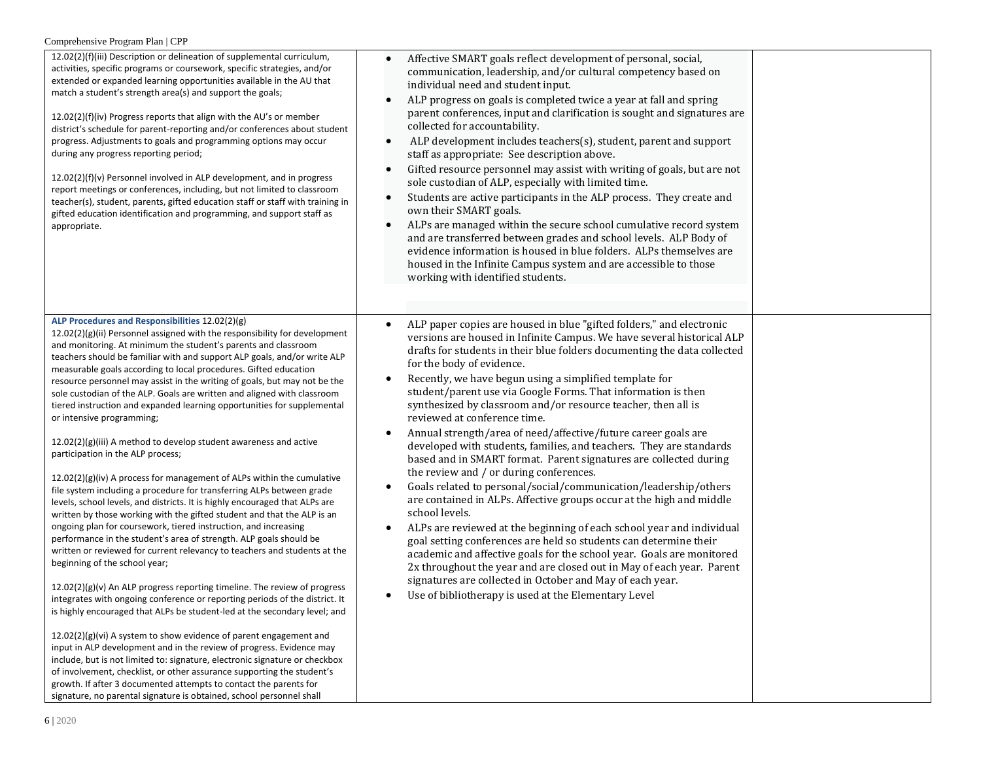| 12.02(2)(f)(iii) Description or delineation of supplemental curriculum,<br>activities, specific programs or coursework, specific strategies, and/or<br>extended or expanded learning opportunities available in the AU that<br>match a student's strength area(s) and support the goals;<br>12.02(2)(f)(iv) Progress reports that align with the AU's or member<br>district's schedule for parent-reporting and/or conferences about student<br>progress. Adjustments to goals and programming options may occur<br>during any progress reporting period;<br>12.02(2)(f)(v) Personnel involved in ALP development, and in progress<br>report meetings or conferences, including, but not limited to classroom<br>teacher(s), student, parents, gifted education staff or staff with training in<br>gifted education identification and programming, and support staff as<br>appropriate.                                                                                                                                                                                                                                                                                                                                                                                                                                                                                                                                                                                                                                                                                                                                                                                                                                                                                                                                                                                                                                                                                                         | Affective SMART goals reflect development of personal, social,<br>communication, leadership, and/or cultural competency based on<br>individual need and student input.<br>ALP progress on goals is completed twice a year at fall and spring<br>parent conferences, input and clarification is sought and signatures are<br>collected for accountability.<br>ALP development includes teachers(s), student, parent and support<br>staff as appropriate: See description above.<br>Gifted resource personnel may assist with writing of goals, but are not<br>sole custodian of ALP, especially with limited time.<br>Students are active participants in the ALP process. They create and<br>own their SMART goals.<br>ALPs are managed within the secure school cumulative record system<br>and are transferred between grades and school levels. ALP Body of<br>evidence information is housed in blue folders. ALPs themselves are<br>housed in the Infinite Campus system and are accessible to those<br>working with identified students.                                                                                                                                                                                                                                                                                                                          |  |
|--------------------------------------------------------------------------------------------------------------------------------------------------------------------------------------------------------------------------------------------------------------------------------------------------------------------------------------------------------------------------------------------------------------------------------------------------------------------------------------------------------------------------------------------------------------------------------------------------------------------------------------------------------------------------------------------------------------------------------------------------------------------------------------------------------------------------------------------------------------------------------------------------------------------------------------------------------------------------------------------------------------------------------------------------------------------------------------------------------------------------------------------------------------------------------------------------------------------------------------------------------------------------------------------------------------------------------------------------------------------------------------------------------------------------------------------------------------------------------------------------------------------------------------------------------------------------------------------------------------------------------------------------------------------------------------------------------------------------------------------------------------------------------------------------------------------------------------------------------------------------------------------------------------------------------------------------------------------------------------------------|-------------------------------------------------------------------------------------------------------------------------------------------------------------------------------------------------------------------------------------------------------------------------------------------------------------------------------------------------------------------------------------------------------------------------------------------------------------------------------------------------------------------------------------------------------------------------------------------------------------------------------------------------------------------------------------------------------------------------------------------------------------------------------------------------------------------------------------------------------------------------------------------------------------------------------------------------------------------------------------------------------------------------------------------------------------------------------------------------------------------------------------------------------------------------------------------------------------------------------------------------------------------------------------------------------------------------------------------------------------------------|--|
| ALP Procedures and Responsibilities 12.02(2)(g)<br>12.02(2)(g)(ii) Personnel assigned with the responsibility for development<br>and monitoring. At minimum the student's parents and classroom<br>teachers should be familiar with and support ALP goals, and/or write ALP<br>measurable goals according to local procedures. Gifted education<br>resource personnel may assist in the writing of goals, but may not be the<br>sole custodian of the ALP. Goals are written and aligned with classroom<br>tiered instruction and expanded learning opportunities for supplemental<br>or intensive programming;<br>$12.02(2)(g)(iii)$ A method to develop student awareness and active<br>participation in the ALP process;<br>$12.02(2)(g)(iv)$ A process for management of ALPs within the cumulative<br>file system including a procedure for transferring ALPs between grade<br>levels, school levels, and districts. It is highly encouraged that ALPs are<br>written by those working with the gifted student and that the ALP is an<br>ongoing plan for coursework, tiered instruction, and increasing<br>performance in the student's area of strength. ALP goals should be<br>written or reviewed for current relevancy to teachers and students at the<br>beginning of the school year;<br>12.02(2)(g)(v) An ALP progress reporting timeline. The review of progress<br>integrates with ongoing conference or reporting periods of the district. It<br>is highly encouraged that ALPs be student-led at the secondary level; and<br>$12.02(2)(g)(vi)$ A system to show evidence of parent engagement and<br>input in ALP development and in the review of progress. Evidence may<br>include, but is not limited to: signature, electronic signature or checkbox<br>of involvement, checklist, or other assurance supporting the student's<br>growth. If after 3 documented attempts to contact the parents for<br>signature, no parental signature is obtained, school personnel shall | ALP paper copies are housed in blue "gifted folders," and electronic<br>$\bullet$<br>versions are housed in Infinite Campus. We have several historical ALP<br>drafts for students in their blue folders documenting the data collected<br>for the body of evidence.<br>Recently, we have begun using a simplified template for<br>student/parent use via Google Forms. That information is then<br>synthesized by classroom and/or resource teacher, then all is<br>reviewed at conference time.<br>Annual strength/area of need/affective/future career goals are<br>developed with students, families, and teachers. They are standards<br>based and in SMART format. Parent signatures are collected during<br>the review and / or during conferences.<br>Goals related to personal/social/communication/leadership/others<br>are contained in ALPs. Affective groups occur at the high and middle<br>school levels.<br>ALPs are reviewed at the beginning of each school year and individual<br>$\bullet$<br>goal setting conferences are held so students can determine their<br>academic and affective goals for the school year. Goals are monitored<br>2x throughout the year and are closed out in May of each year. Parent<br>signatures are collected in October and May of each year.<br>Use of bibliotherapy is used at the Elementary Level<br>$\bullet$ |  |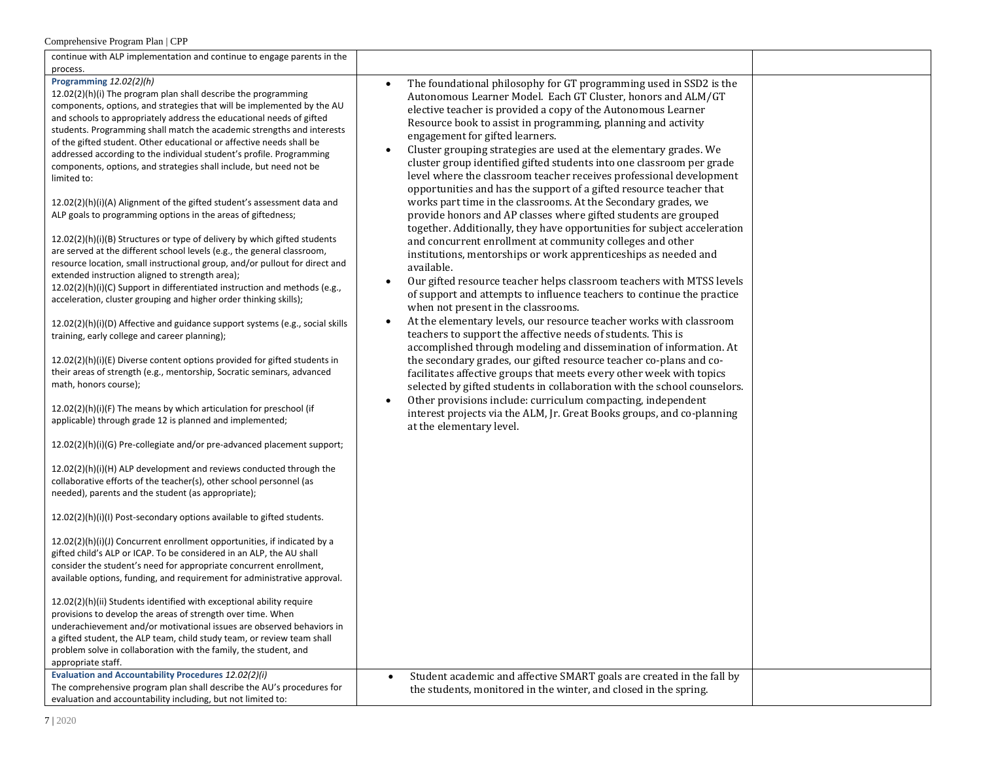| continue with ALP implementation and continue to engage parents in the<br>process.                                                                                                                                                                                                                                                                                                                                                                                                                                                                                                                                                                                                                                                                                                                                                                                                                                                                                                                                                                                                                                                                                                                                                                                                                                                                                                                                                                                                                                                                                                                                                                                                                                                                                                                                                                                                                                                                                                                                                                                                                                                                                                                                                                                                                                                                                                                                                                                                                                                                                                                                                                                                                                        |                                                                                                                                                                                                                                                                                                                                                                                                                                                                                                                                                                                                                                                                                                                                                                                                                                                                                                                                                                                                                                                                                                                                                                                                                                                                                                                                                                                                                                                                                                                                                                                                                                                                                                                                                                                                                                                                                                                     |  |
|---------------------------------------------------------------------------------------------------------------------------------------------------------------------------------------------------------------------------------------------------------------------------------------------------------------------------------------------------------------------------------------------------------------------------------------------------------------------------------------------------------------------------------------------------------------------------------------------------------------------------------------------------------------------------------------------------------------------------------------------------------------------------------------------------------------------------------------------------------------------------------------------------------------------------------------------------------------------------------------------------------------------------------------------------------------------------------------------------------------------------------------------------------------------------------------------------------------------------------------------------------------------------------------------------------------------------------------------------------------------------------------------------------------------------------------------------------------------------------------------------------------------------------------------------------------------------------------------------------------------------------------------------------------------------------------------------------------------------------------------------------------------------------------------------------------------------------------------------------------------------------------------------------------------------------------------------------------------------------------------------------------------------------------------------------------------------------------------------------------------------------------------------------------------------------------------------------------------------------------------------------------------------------------------------------------------------------------------------------------------------------------------------------------------------------------------------------------------------------------------------------------------------------------------------------------------------------------------------------------------------------------------------------------------------------------------------------------------------|---------------------------------------------------------------------------------------------------------------------------------------------------------------------------------------------------------------------------------------------------------------------------------------------------------------------------------------------------------------------------------------------------------------------------------------------------------------------------------------------------------------------------------------------------------------------------------------------------------------------------------------------------------------------------------------------------------------------------------------------------------------------------------------------------------------------------------------------------------------------------------------------------------------------------------------------------------------------------------------------------------------------------------------------------------------------------------------------------------------------------------------------------------------------------------------------------------------------------------------------------------------------------------------------------------------------------------------------------------------------------------------------------------------------------------------------------------------------------------------------------------------------------------------------------------------------------------------------------------------------------------------------------------------------------------------------------------------------------------------------------------------------------------------------------------------------------------------------------------------------------------------------------------------------|--|
| Programming 12.02(2)(h)<br>12.02(2)(h)(i) The program plan shall describe the programming<br>components, options, and strategies that will be implemented by the AU<br>and schools to appropriately address the educational needs of gifted<br>students. Programming shall match the academic strengths and interests<br>of the gifted student. Other educational or affective needs shall be<br>addressed according to the individual student's profile. Programming<br>components, options, and strategies shall include, but need not be<br>limited to:<br>12.02(2)(h)(i)(A) Alignment of the gifted student's assessment data and<br>ALP goals to programming options in the areas of giftedness;<br>12.02(2)(h)(i)(B) Structures or type of delivery by which gifted students<br>are served at the different school levels (e.g., the general classroom,<br>resource location, small instructional group, and/or pullout for direct and<br>extended instruction aligned to strength area);<br>12.02(2)(h)(i)(C) Support in differentiated instruction and methods (e.g.,<br>acceleration, cluster grouping and higher order thinking skills);<br>12.02(2)(h)(i)(D) Affective and guidance support systems (e.g., social skills<br>training, early college and career planning);<br>12.02(2)(h)(i)(E) Diverse content options provided for gifted students in<br>their areas of strength (e.g., mentorship, Socratic seminars, advanced<br>math, honors course);<br>12.02(2)(h)(i)(F) The means by which articulation for preschool (if<br>applicable) through grade 12 is planned and implemented;<br>12.02(2)(h)(i)(G) Pre-collegiate and/or pre-advanced placement support;<br>12.02(2)(h)(i)(H) ALP development and reviews conducted through the<br>collaborative efforts of the teacher(s), other school personnel (as<br>needed), parents and the student (as appropriate);<br>12.02(2)(h)(i)(l) Post-secondary options available to gifted students.<br>12.02(2)(h)(i)(J) Concurrent enrollment opportunities, if indicated by a<br>gifted child's ALP or ICAP. To be considered in an ALP, the AU shall<br>consider the student's need for appropriate concurrent enrollment,<br>available options, funding, and requirement for administrative approval.<br>12.02(2)(h)(ii) Students identified with exceptional ability require<br>provisions to develop the areas of strength over time. When<br>underachievement and/or motivational issues are observed behaviors in<br>a gifted student, the ALP team, child study team, or review team shall<br>problem solve in collaboration with the family, the student, and<br>appropriate staff.<br><b>Evaluation and Accountability Procedures 12.02(2)(i)</b> | The foundational philosophy for GT programming used in SSD2 is the<br>$\bullet$<br>Autonomous Learner Model. Each GT Cluster, honors and ALM/GT<br>elective teacher is provided a copy of the Autonomous Learner<br>Resource book to assist in programming, planning and activity<br>engagement for gifted learners.<br>Cluster grouping strategies are used at the elementary grades. We<br>$\bullet$<br>cluster group identified gifted students into one classroom per grade<br>level where the classroom teacher receives professional development<br>opportunities and has the support of a gifted resource teacher that<br>works part time in the classrooms. At the Secondary grades, we<br>provide honors and AP classes where gifted students are grouped<br>together. Additionally, they have opportunities for subject acceleration<br>and concurrent enrollment at community colleges and other<br>institutions, mentorships or work apprenticeships as needed and<br>available.<br>Our gifted resource teacher helps classroom teachers with MTSS levels<br>$\bullet$<br>of support and attempts to influence teachers to continue the practice<br>when not present in the classrooms.<br>At the elementary levels, our resource teacher works with classroom<br>$\bullet$<br>teachers to support the affective needs of students. This is<br>accomplished through modeling and dissemination of information. At<br>the secondary grades, our gifted resource teacher co-plans and co-<br>facilitates affective groups that meets every other week with topics<br>selected by gifted students in collaboration with the school counselors.<br>Other provisions include: curriculum compacting, independent<br>interest projects via the ALM, Jr. Great Books groups, and co-planning<br>at the elementary level.<br>Student academic and affective SMART goals are created in the fall by<br>$\bullet$ |  |
| The comprehensive program plan shall describe the AU's procedures for<br>evaluation and accountability including, but not limited to:                                                                                                                                                                                                                                                                                                                                                                                                                                                                                                                                                                                                                                                                                                                                                                                                                                                                                                                                                                                                                                                                                                                                                                                                                                                                                                                                                                                                                                                                                                                                                                                                                                                                                                                                                                                                                                                                                                                                                                                                                                                                                                                                                                                                                                                                                                                                                                                                                                                                                                                                                                                     | the students, monitored in the winter, and closed in the spring.                                                                                                                                                                                                                                                                                                                                                                                                                                                                                                                                                                                                                                                                                                                                                                                                                                                                                                                                                                                                                                                                                                                                                                                                                                                                                                                                                                                                                                                                                                                                                                                                                                                                                                                                                                                                                                                    |  |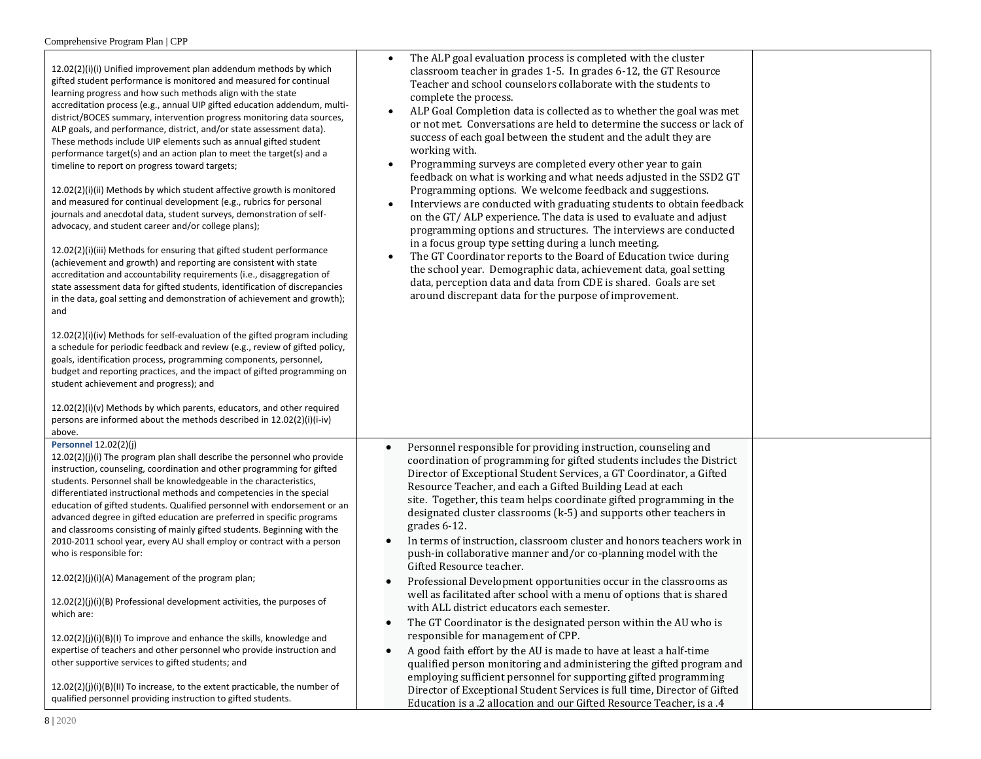| 12.02(2)(i)(i) Unified improvement plan addendum methods by which<br>gifted student performance is monitored and measured for continual<br>learning progress and how such methods align with the state<br>accreditation process (e.g., annual UIP gifted education addendum, multi-<br>district/BOCES summary, intervention progress monitoring data sources,<br>ALP goals, and performance, district, and/or state assessment data).<br>These methods include UIP elements such as annual gifted student<br>performance target(s) and an action plan to meet the target(s) and a<br>timeline to report on progress toward targets;<br>12.02(2)(i)(ii) Methods by which student affective growth is monitored<br>and measured for continual development (e.g., rubrics for personal<br>journals and anecdotal data, student surveys, demonstration of self-<br>advocacy, and student career and/or college plans);<br>12.02(2)(i)(iii) Methods for ensuring that gifted student performance<br>(achievement and growth) and reporting are consistent with state<br>accreditation and accountability requirements (i.e., disaggregation of<br>state assessment data for gifted students, identification of discrepancies<br>in the data, goal setting and demonstration of achievement and growth);<br>and<br>12.02(2)(i)(iv) Methods for self-evaluation of the gifted program including<br>a schedule for periodic feedback and review (e.g., review of gifted policy,<br>goals, identification process, programming components, personnel,<br>budget and reporting practices, and the impact of gifted programming on<br>student achievement and progress); and<br>$12.02(2)(i)(v)$ Methods by which parents, educators, and other required<br>persons are informed about the methods described in 12.02(2)(i)(i-iv)<br>above. | The ALP goal evaluation process is completed with the cluster<br>classroom teacher in grades 1-5. In grades 6-12, the GT Resource<br>Teacher and school counselors collaborate with the students to<br>complete the process.<br>ALP Goal Completion data is collected as to whether the goal was met<br>or not met. Conversations are held to determine the success or lack of<br>success of each goal between the student and the adult they are<br>working with.<br>Programming surveys are completed every other year to gain<br>feedback on what is working and what needs adjusted in the SSD2 GT<br>Programming options. We welcome feedback and suggestions.<br>Interviews are conducted with graduating students to obtain feedback<br>on the GT/ALP experience. The data is used to evaluate and adjust<br>programming options and structures. The interviews are conducted<br>in a focus group type setting during a lunch meeting.<br>The GT Coordinator reports to the Board of Education twice during<br>the school year. Demographic data, achievement data, goal setting<br>data, perception data and data from CDE is shared. Goals are set<br>around discrepant data for the purpose of improvement.                                                                                           |  |
|----------------------------------------------------------------------------------------------------------------------------------------------------------------------------------------------------------------------------------------------------------------------------------------------------------------------------------------------------------------------------------------------------------------------------------------------------------------------------------------------------------------------------------------------------------------------------------------------------------------------------------------------------------------------------------------------------------------------------------------------------------------------------------------------------------------------------------------------------------------------------------------------------------------------------------------------------------------------------------------------------------------------------------------------------------------------------------------------------------------------------------------------------------------------------------------------------------------------------------------------------------------------------------------------------------------------------------------------------------------------------------------------------------------------------------------------------------------------------------------------------------------------------------------------------------------------------------------------------------------------------------------------------------------------------------------------------------------------------------------------------------------------------------------------------------------------------------|-----------------------------------------------------------------------------------------------------------------------------------------------------------------------------------------------------------------------------------------------------------------------------------------------------------------------------------------------------------------------------------------------------------------------------------------------------------------------------------------------------------------------------------------------------------------------------------------------------------------------------------------------------------------------------------------------------------------------------------------------------------------------------------------------------------------------------------------------------------------------------------------------------------------------------------------------------------------------------------------------------------------------------------------------------------------------------------------------------------------------------------------------------------------------------------------------------------------------------------------------------------------------------------------------------------------|--|
| <b>Personnel 12.02(2)(j)</b><br>12.02(2)(j)(i) The program plan shall describe the personnel who provide<br>instruction, counseling, coordination and other programming for gifted<br>students. Personnel shall be knowledgeable in the characteristics,<br>differentiated instructional methods and competencies in the special<br>education of gifted students. Qualified personnel with endorsement or an<br>advanced degree in gifted education are preferred in specific programs<br>and classrooms consisting of mainly gifted students. Beginning with the<br>2010-2011 school year, every AU shall employ or contract with a person<br>who is responsible for:<br>12.02(2)(j)(i)(A) Management of the program plan;<br>12.02(2)(j)(i)(B) Professional development activities, the purposes of<br>which are:<br>12.02(2)(i)(i)(B)(I) To improve and enhance the skills, knowledge and<br>expertise of teachers and other personnel who provide instruction and<br>other supportive services to gifted students; and<br>12.02(2)(j)(i)(B)(II) To increase, to the extent practicable, the number of<br>qualified personnel providing instruction to gifted students.                                                                                                                                                                                                                                                                                                                                                                                                                                                                                                                                                                                                                                                       | Personnel responsible for providing instruction, counseling and<br>$\bullet$<br>coordination of programming for gifted students includes the District<br>Director of Exceptional Student Services, a GT Coordinator, a Gifted<br>Resource Teacher, and each a Gifted Building Lead at each<br>site. Together, this team helps coordinate gifted programming in the<br>designated cluster classrooms (k-5) and supports other teachers in<br>grades 6-12.<br>In terms of instruction, classroom cluster and honors teachers work in<br>push-in collaborative manner and/or co-planning model with the<br>Gifted Resource teacher.<br>Professional Development opportunities occur in the classrooms as<br>well as facilitated after school with a menu of options that is shared<br>with ALL district educators each semester.<br>The GT Coordinator is the designated person within the AU who is<br>responsible for management of CPP.<br>A good faith effort by the AU is made to have at least a half-time<br>qualified person monitoring and administering the gifted program and<br>employing sufficient personnel for supporting gifted programming<br>Director of Exceptional Student Services is full time, Director of Gifted<br>Education is a .2 allocation and our Gifted Resource Teacher, is a .4 |  |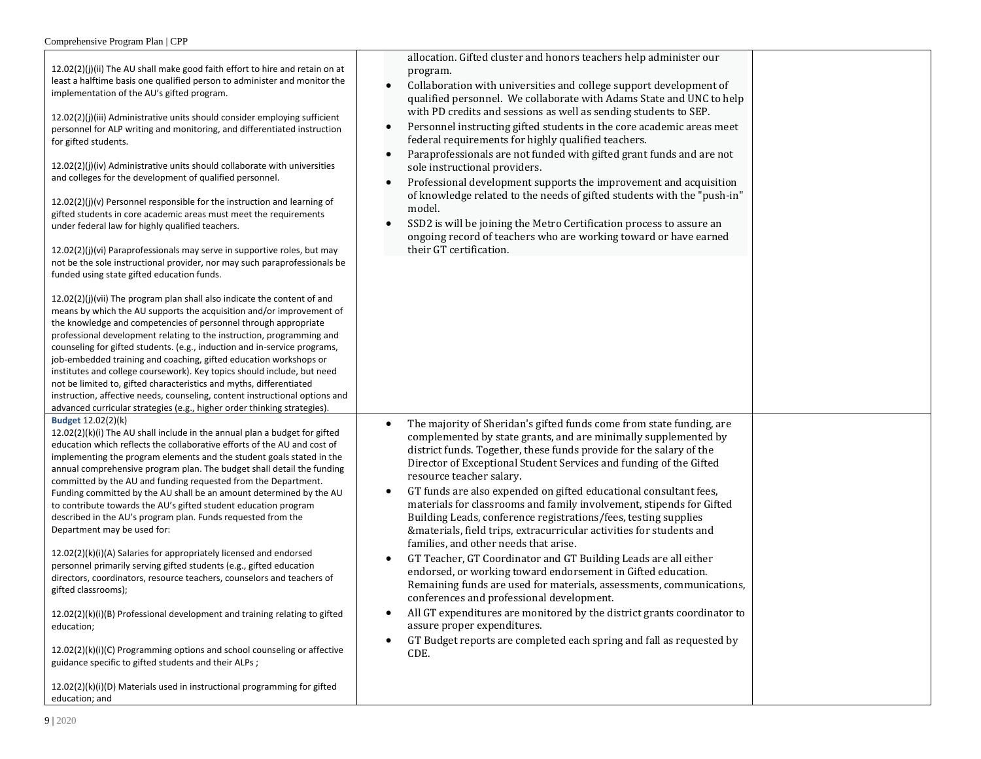| 12.02(2)(j)(ii) The AU shall make good faith effort to hire and retain on at<br>least a halftime basis one qualified person to administer and monitor the<br>implementation of the AU's gifted program.<br>12.02(2)(j)(iii) Administrative units should consider employing sufficient<br>personnel for ALP writing and monitoring, and differentiated instruction<br>for gifted students.<br>12.02(2)(j)(iv) Administrative units should collaborate with universities<br>and colleges for the development of qualified personnel.<br>12.02(2)(j)(v) Personnel responsible for the instruction and learning of<br>gifted students in core academic areas must meet the requirements<br>under federal law for highly qualified teachers.<br>12.02(2)(j)(vi) Paraprofessionals may serve in supportive roles, but may<br>not be the sole instructional provider, nor may such paraprofessionals be<br>funded using state gifted education funds.<br>12.02(2)(j)(vii) The program plan shall also indicate the content of and<br>means by which the AU supports the acquisition and/or improvement of<br>the knowledge and competencies of personnel through appropriate<br>professional development relating to the instruction, programming and<br>counseling for gifted students. (e.g., induction and in-service programs,<br>job-embedded training and coaching, gifted education workshops or<br>institutes and college coursework). Key topics should include, but need<br>not be limited to, gifted characteristics and myths, differentiated<br>instruction, affective needs, counseling, content instructional options and<br>advanced curricular strategies (e.g., higher order thinking strategies). | allocation. Gifted cluster and honors teachers help administer our<br>program.<br>Collaboration with universities and college support development of<br>qualified personnel. We collaborate with Adams State and UNC to help<br>with PD credits and sessions as well as sending students to SEP.<br>Personnel instructing gifted students in the core academic areas meet<br>$\bullet$<br>federal requirements for highly qualified teachers.<br>Paraprofessionals are not funded with gifted grant funds and are not<br>sole instructional providers.<br>Professional development supports the improvement and acquisition<br>of knowledge related to the needs of gifted students with the "push-in"<br>model.<br>SSD2 is will be joining the Metro Certification process to assure an<br>$\bullet$<br>ongoing record of teachers who are working toward or have earned<br>their GT certification.                                                                                                                                                                                                                                                    |  |
|---------------------------------------------------------------------------------------------------------------------------------------------------------------------------------------------------------------------------------------------------------------------------------------------------------------------------------------------------------------------------------------------------------------------------------------------------------------------------------------------------------------------------------------------------------------------------------------------------------------------------------------------------------------------------------------------------------------------------------------------------------------------------------------------------------------------------------------------------------------------------------------------------------------------------------------------------------------------------------------------------------------------------------------------------------------------------------------------------------------------------------------------------------------------------------------------------------------------------------------------------------------------------------------------------------------------------------------------------------------------------------------------------------------------------------------------------------------------------------------------------------------------------------------------------------------------------------------------------------------------------------------------------------------------------------------------------------------|---------------------------------------------------------------------------------------------------------------------------------------------------------------------------------------------------------------------------------------------------------------------------------------------------------------------------------------------------------------------------------------------------------------------------------------------------------------------------------------------------------------------------------------------------------------------------------------------------------------------------------------------------------------------------------------------------------------------------------------------------------------------------------------------------------------------------------------------------------------------------------------------------------------------------------------------------------------------------------------------------------------------------------------------------------------------------------------------------------------------------------------------------------|--|
| Budget 12.02(2)(k)<br>12.02(2)(k)(i) The AU shall include in the annual plan a budget for gifted<br>education which reflects the collaborative efforts of the AU and cost of<br>implementing the program elements and the student goals stated in the<br>annual comprehensive program plan. The budget shall detail the funding<br>committed by the AU and funding requested from the Department.<br>Funding committed by the AU shall be an amount determined by the AU<br>to contribute towards the AU's gifted student education program<br>described in the AU's program plan. Funds requested from the<br>Department may be used for:<br>12.02(2)(k)(i)(A) Salaries for appropriately licensed and endorsed<br>personnel primarily serving gifted students (e.g., gifted education<br>directors, coordinators, resource teachers, counselors and teachers of<br>gifted classrooms);<br>12.02(2)(k)(i)(B) Professional development and training relating to gifted<br>education;<br>12.02(2)(k)(i)(C) Programming options and school counseling or affective<br>guidance specific to gifted students and their ALPs;<br>12.02(2)(k)(i)(D) Materials used in instructional programming for gifted<br>education; and                                                                                                                                                                                                                                                                                                                                                                                                                                                                                        | The majority of Sheridan's gifted funds come from state funding, are<br>$\bullet$<br>complemented by state grants, and are minimally supplemented by<br>district funds. Together, these funds provide for the salary of the<br>Director of Exceptional Student Services and funding of the Gifted<br>resource teacher salary.<br>GT funds are also expended on gifted educational consultant fees,<br>$\bullet$<br>materials for classrooms and family involvement, stipends for Gifted<br>Building Leads, conference registrations/fees, testing supplies<br>&materials, field trips, extracurricular activities for students and<br>families, and other needs that arise.<br>GT Teacher, GT Coordinator and GT Building Leads are all either<br>$\bullet$<br>endorsed, or working toward endorsement in Gifted education.<br>Remaining funds are used for materials, assessments, communications,<br>conferences and professional development.<br>All GT expenditures are monitored by the district grants coordinator to<br>assure proper expenditures.<br>GT Budget reports are completed each spring and fall as requested by<br>$\bullet$<br>CDE. |  |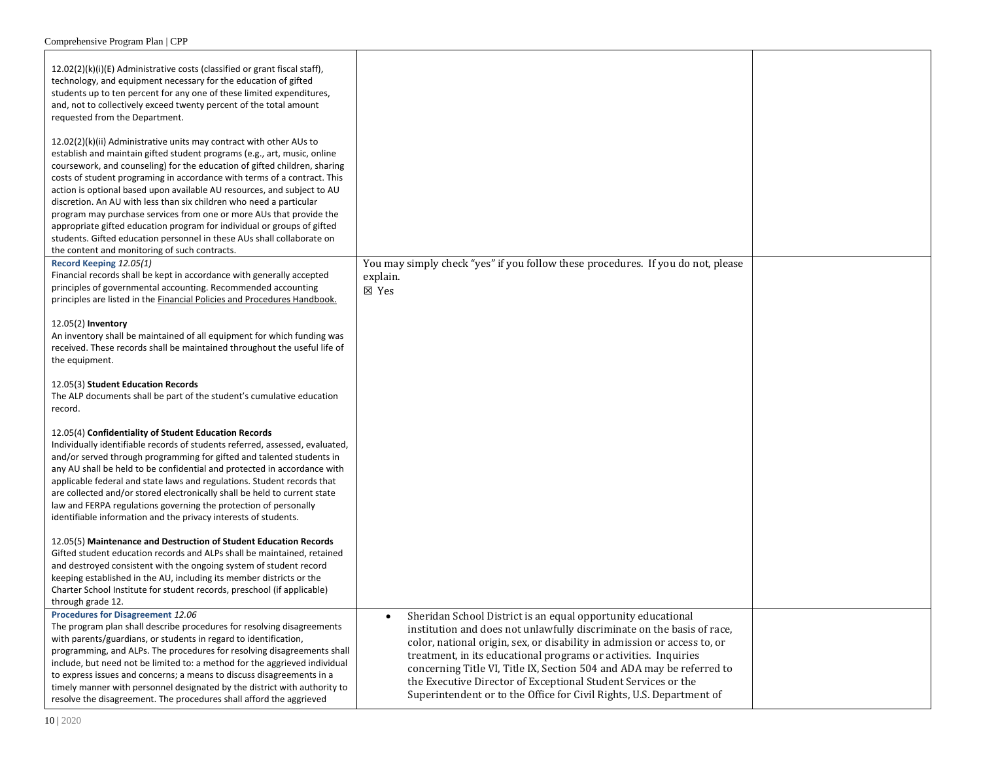| 12.02(2)(k)(i)(E) Administrative costs (classified or grant fiscal staff),<br>technology, and equipment necessary for the education of gifted<br>students up to ten percent for any one of these limited expenditures,<br>and, not to collectively exceed twenty percent of the total amount<br>requested from the Department.                                                                                                                                                                                                                                                                                                                                                                                                          |                                                                                                                                                                                                                                                                                                                                                                                                                                                                                                         |  |
|-----------------------------------------------------------------------------------------------------------------------------------------------------------------------------------------------------------------------------------------------------------------------------------------------------------------------------------------------------------------------------------------------------------------------------------------------------------------------------------------------------------------------------------------------------------------------------------------------------------------------------------------------------------------------------------------------------------------------------------------|---------------------------------------------------------------------------------------------------------------------------------------------------------------------------------------------------------------------------------------------------------------------------------------------------------------------------------------------------------------------------------------------------------------------------------------------------------------------------------------------------------|--|
| 12.02(2)(k)(ii) Administrative units may contract with other AUs to<br>establish and maintain gifted student programs (e.g., art, music, online<br>coursework, and counseling) for the education of gifted children, sharing<br>costs of student programing in accordance with terms of a contract. This<br>action is optional based upon available AU resources, and subject to AU<br>discretion. An AU with less than six children who need a particular<br>program may purchase services from one or more AUs that provide the<br>appropriate gifted education program for individual or groups of gifted<br>students. Gifted education personnel in these AUs shall collaborate on<br>the content and monitoring of such contracts. |                                                                                                                                                                                                                                                                                                                                                                                                                                                                                                         |  |
| Record Keeping 12.05(1)<br>Financial records shall be kept in accordance with generally accepted<br>principles of governmental accounting. Recommended accounting<br>principles are listed in the Financial Policies and Procedures Handbook.                                                                                                                                                                                                                                                                                                                                                                                                                                                                                           | You may simply check "yes" if you follow these procedures. If you do not, please<br>explain.<br>⊠ Yes                                                                                                                                                                                                                                                                                                                                                                                                   |  |
| 12.05(2) Inventory<br>An inventory shall be maintained of all equipment for which funding was<br>received. These records shall be maintained throughout the useful life of<br>the equipment.                                                                                                                                                                                                                                                                                                                                                                                                                                                                                                                                            |                                                                                                                                                                                                                                                                                                                                                                                                                                                                                                         |  |
| 12.05(3) Student Education Records<br>The ALP documents shall be part of the student's cumulative education<br>record.                                                                                                                                                                                                                                                                                                                                                                                                                                                                                                                                                                                                                  |                                                                                                                                                                                                                                                                                                                                                                                                                                                                                                         |  |
| 12.05(4) Confidentiality of Student Education Records<br>Individually identifiable records of students referred, assessed, evaluated,<br>and/or served through programming for gifted and talented students in<br>any AU shall be held to be confidential and protected in accordance with<br>applicable federal and state laws and regulations. Student records that<br>are collected and/or stored electronically shall be held to current state<br>law and FERPA regulations governing the protection of personally<br>identifiable information and the privacy interests of students.                                                                                                                                               |                                                                                                                                                                                                                                                                                                                                                                                                                                                                                                         |  |
| 12.05(5) Maintenance and Destruction of Student Education Records<br>Gifted student education records and ALPs shall be maintained, retained<br>and destroyed consistent with the ongoing system of student record<br>keeping established in the AU, including its member districts or the<br>Charter School Institute for student records, preschool (if applicable)<br>through grade 12.                                                                                                                                                                                                                                                                                                                                              |                                                                                                                                                                                                                                                                                                                                                                                                                                                                                                         |  |
| Procedures for Disagreement 12.06<br>The program plan shall describe procedures for resolving disagreements<br>with parents/guardians, or students in regard to identification,<br>programming, and ALPs. The procedures for resolving disagreements shall<br>include, but need not be limited to: a method for the aggrieved individual<br>to express issues and concerns; a means to discuss disagreements in a<br>timely manner with personnel designated by the district with authority to<br>resolve the disagreement. The procedures shall afford the aggrieved                                                                                                                                                                   | Sheridan School District is an equal opportunity educational<br>institution and does not unlawfully discriminate on the basis of race,<br>color, national origin, sex, or disability in admission or access to, or<br>treatment, in its educational programs or activities. Inquiries<br>concerning Title VI, Title IX, Section 504 and ADA may be referred to<br>the Executive Director of Exceptional Student Services or the<br>Superintendent or to the Office for Civil Rights, U.S. Department of |  |